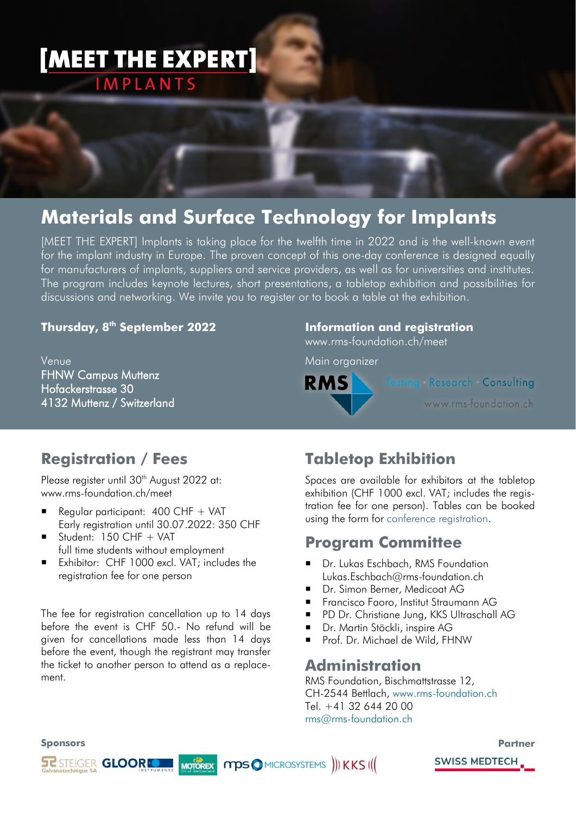# [MEET THE EXPERT] **IMPLANTS**

## **Materials and Surface Technology for Implants**

[MEET THE EXPERT] Implants is taking place for the twelfth time in 2022 and is the well-known event for the implant industry in Europe. The proven concept of this one-day conference is designed equally for manufacturers of implants, suppliers and service providers, as well as for universities and institutes. The program includes keynote lectures, short presentations, a tabletop exhibition and possibilities for discussions and networking. We invite you to register or to book a table at the exhibition.

#### **Thursday, 8 th September 2022**

**Venue FHNW Campus Muttenz** Hofackerstrasse 30 4132 Muttenz / Switzerland

#### **Information and registration**

www.rms-foundation.ch/meet

Main organizer



ting Research Consulting

www.rms-foundation.ch

### **Registration / Fees**

Please register until 30<sup>th</sup> August 2022 at: www.rms-foundation.ch/meet

- Regular participant: 400 CHF + VAT Early registration until 30.07.2022: 350 CHF
- $\blacksquare$  Student: 150 CHF + VAT full time students without employment
- Exhibitor: CHF 1000 excl. VAT; includes the registration fee for one person

The fee for registration cancellation up to 14 days before the event is CHF 50.- No refund will be given for cancellations made less than 14 days before the event, though the registrant may transfer the ticket to another person to attend as a replacement.

## **Tabletop Exhibition**

Spaces are available for exhibitors at the tabletop exhibition (CHF 1000 excl. VAT; includes the registration fee for one person). Tables can be booked using the form for [conference registration.](https://www.rms-foundation.ch/meet)

### **Program Committee**

- **Dr. Lukas Eschbach, RMS Foundation** Lukas.Eschbach@rms-foundation.ch
- Dr. Simon Berner, Medicoat AG
- **Francisco Faoro, Institut Straumann AG**
- **PD Dr. Christiane Jung, KKS Ultraschall AG**
- Dr. Martin Stöckli, inspire AG
- Prof. Dr. Michael de Wild, FHNW

#### **Administration**

RMS Foundation, Bischmattstrasse 12, CH-2544 Bettlach, [www.rms-foundation.ch](http://www.rms-foundation.ch/) Tel. +41 32 644 20 00 [rms@rms-foundation.ch](mailto:rms@rms-foundation.ch)

#### **Sponsors**





**SWISS MEDTECH**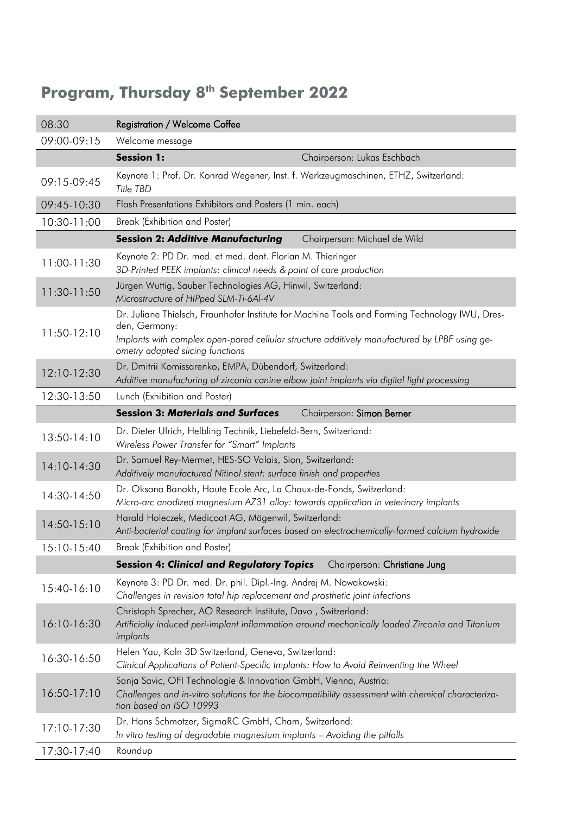### **Program, Thursday 8 th September 2022**

| 08:30         | <b>Registration / Welcome Coffee</b>                                                                                                                                                                                                                 |
|---------------|------------------------------------------------------------------------------------------------------------------------------------------------------------------------------------------------------------------------------------------------------|
| 09:00-09:15   | Welcome message                                                                                                                                                                                                                                      |
|               | <b>Session 1:</b><br>Chairperson: Lukas Eschbach                                                                                                                                                                                                     |
| 09:15-09:45   | Keynote 1: Prof. Dr. Konrad Wegener, Inst. f. Werkzeugmaschinen, ETHZ, Switzerland:<br>Title TBD                                                                                                                                                     |
| 09:45-10:30   | Flash Presentations Exhibitors and Posters (1 min. each)                                                                                                                                                                                             |
| 10:30-11:00   | Break (Exhibition and Poster)                                                                                                                                                                                                                        |
|               | <b>Session 2: Additive Manufacturing</b><br>Chairperson: Michael de Wild                                                                                                                                                                             |
| 11:00-11:30   | Keynote 2: PD Dr. med. et med. dent. Florian M. Thieringer<br>3D-Printed PEEK implants: clinical needs & point of care production                                                                                                                    |
| 11:30-11:50   | Jürgen Wuttig, Sauber Technologies AG, Hinwil, Switzerland:<br>Microstructure of HIPped SLM-Ti-6Al-4V                                                                                                                                                |
| 11:50-12:10   | Dr. Juliane Thielsch, Fraunhofer Institute for Machine Tools and Forming Technology IWU, Dres-<br>den, Germany:<br>Implants with complex open-pored cellular structure additively manufactured by LPBF using ge-<br>ometry adapted slicing functions |
| 12:10-12:30   | Dr. Dmitrii Komissarenko, EMPA, Dübendorf, Switzerland:<br>Additive manufacturing of zirconia canine elbow joint implants via digital light processing                                                                                               |
| 12:30-13:50   | Lunch (Exhibition and Poster)                                                                                                                                                                                                                        |
|               | <b>Session 3: Materials and Surfaces</b><br>Chairperson: Simon Berner                                                                                                                                                                                |
| 13:50-14:10   | Dr. Dieter Ulrich, Helbling Technik, Liebefeld-Bern, Switzerland:<br>Wireless Power Transfer for "Smart" Implants                                                                                                                                    |
| $14:10-14:30$ | Dr. Samuel Rey-Mermet, HES-SO Valais, Sion, Switzerland:<br>Additively manufactured Nitinol stent: surface finish and properties                                                                                                                     |
| 14:30-14:50   | Dr. Oksana Banakh, Haute Ecole Arc, La Chaux-de-Fonds, Switzerland:<br>Micro-arc anodized magnesium AZ31 alloy: towards application in veterinary implants                                                                                           |
| $14:50-15:10$ | Harald Holeczek, Medicoat AG, Mägenwil, Switzerland:<br>Anti-bacterial coating for implant surfaces based on electrochemically-formed calcium hydroxide                                                                                              |
| 15:10-15:40   | Break (Exhibition and Poster)                                                                                                                                                                                                                        |
|               | <b>Session 4: Clinical and Regulatory Topics</b><br>Chairperson: Christiane Jung                                                                                                                                                                     |
| 15:40-16:10   | Keynote 3: PD Dr. med. Dr. phil. Dipl.-Ing. Andrej M. Nowakowski:<br>Challenges in revision total hip replacement and prosthetic joint infections                                                                                                    |
| 16:10-16:30   | Christoph Sprecher, AO Research Institute, Davo, Switzerland:<br>Artificially induced peri-implant inflammation around mechanically loaded Zirconia and Titanium<br>implants                                                                         |
| 16:30-16:50   | Helen Yau, Koln 3D Switzerland, Geneva, Switzerland:<br>Clinical Applications of Patient-Specific Implants: How to Avoid Reinventing the Wheel                                                                                                       |
| $16:50-17:10$ | Sanja Savic, OFI Technologie & Innovation GmbH, Vienna, Austria:<br>Challenges and in-vitro solutions for the biocompatibility assessment with chemical characteriza-<br>tion based on ISO 10993                                                     |
| 17:10-17:30   | Dr. Hans Schmotzer, SigmaRC GmbH, Cham, Switzerland:<br>In vitro testing of degradable magnesium implants - Avoiding the pitfalls                                                                                                                    |
| 17:30-17:40   | Roundup                                                                                                                                                                                                                                              |